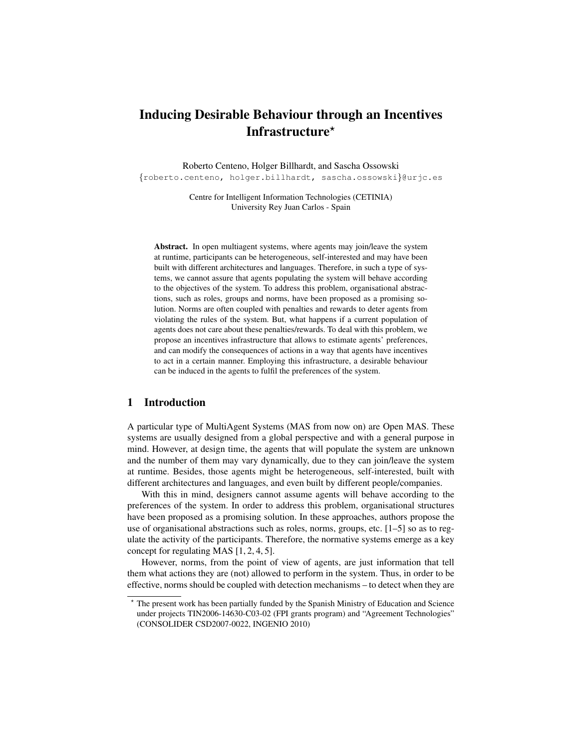# Inducing Desirable Behaviour through an Incentives Infrastructure $\star$

Roberto Centeno, Holger Billhardt, and Sascha Ossowski {roberto.centeno, holger.billhardt, sascha.ossowski}@urjc.es

Centre for Intelligent Information Technologies (CETINIA) University Rey Juan Carlos - Spain

Abstract. In open multiagent systems, where agents may join/leave the system at runtime, participants can be heterogeneous, self-interested and may have been built with different architectures and languages. Therefore, in such a type of systems, we cannot assure that agents populating the system will behave according to the objectives of the system. To address this problem, organisational abstractions, such as roles, groups and norms, have been proposed as a promising solution. Norms are often coupled with penalties and rewards to deter agents from violating the rules of the system. But, what happens if a current population of agents does not care about these penalties/rewards. To deal with this problem, we propose an incentives infrastructure that allows to estimate agents' preferences, and can modify the consequences of actions in a way that agents have incentives to act in a certain manner. Employing this infrastructure, a desirable behaviour can be induced in the agents to fulfil the preferences of the system.

# 1 Introduction

A particular type of MultiAgent Systems (MAS from now on) are Open MAS. These systems are usually designed from a global perspective and with a general purpose in mind. However, at design time, the agents that will populate the system are unknown and the number of them may vary dynamically, due to they can join/leave the system at runtime. Besides, those agents might be heterogeneous, self-interested, built with different architectures and languages, and even built by different people/companies.

With this in mind, designers cannot assume agents will behave according to the preferences of the system. In order to address this problem, organisational structures have been proposed as a promising solution. In these approaches, authors propose the use of organisational abstractions such as roles, norms, groups, etc. [1–5] so as to regulate the activity of the participants. Therefore, the normative systems emerge as a key concept for regulating MAS [1, 2, 4, 5].

However, norms, from the point of view of agents, are just information that tell them what actions they are (not) allowed to perform in the system. Thus, in order to be effective, norms should be coupled with detection mechanisms – to detect when they are

The present work has been partially funded by the Spanish Ministry of Education and Science under projects TIN2006-14630-C03-02 (FPI grants program) and "Agreement Technologies" (CONSOLIDER CSD2007-0022, INGENIO 2010)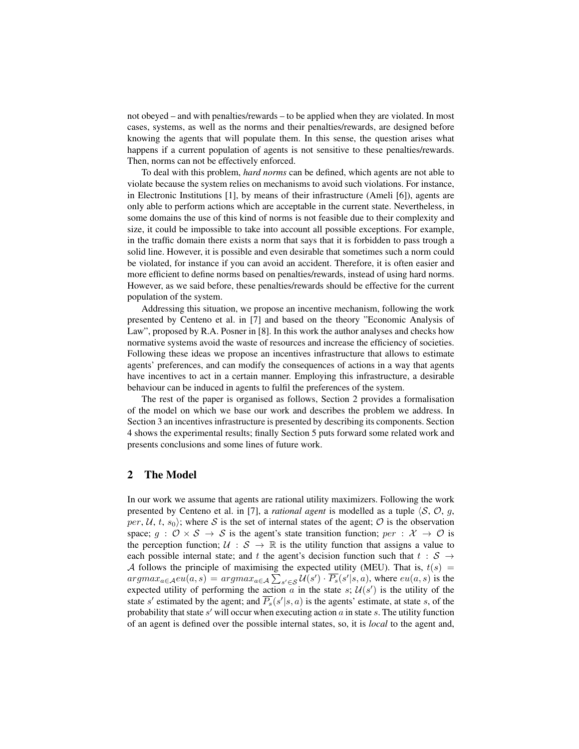not obeyed – and with penalties/rewards – to be applied when they are violated. In most cases, systems, as well as the norms and their penalties/rewards, are designed before knowing the agents that will populate them. In this sense, the question arises what happens if a current population of agents is not sensitive to these penalties/rewards. Then, norms can not be effectively enforced.

To deal with this problem, *hard norms* can be defined, which agents are not able to violate because the system relies on mechanisms to avoid such violations. For instance, in Electronic Institutions [1], by means of their infrastructure (Ameli [6]), agents are only able to perform actions which are acceptable in the current state. Nevertheless, in some domains the use of this kind of norms is not feasible due to their complexity and size, it could be impossible to take into account all possible exceptions. For example, in the traffic domain there exists a norm that says that it is forbidden to pass trough a solid line. However, it is possible and even desirable that sometimes such a norm could be violated, for instance if you can avoid an accident. Therefore, it is often easier and more efficient to define norms based on penalties/rewards, instead of using hard norms. However, as we said before, these penalties/rewards should be effective for the current population of the system.

Addressing this situation, we propose an incentive mechanism, following the work presented by Centeno et al. in [7] and based on the theory "Economic Analysis of Law", proposed by R.A. Posner in [8]. In this work the author analyses and checks how normative systems avoid the waste of resources and increase the efficiency of societies. Following these ideas we propose an incentives infrastructure that allows to estimate agents' preferences, and can modify the consequences of actions in a way that agents have incentives to act in a certain manner. Employing this infrastructure, a desirable behaviour can be induced in agents to fulfil the preferences of the system.

The rest of the paper is organised as follows, Section 2 provides a formalisation of the model on which we base our work and describes the problem we address. In Section 3 an incentives infrastructure is presented by describing its components. Section 4 shows the experimental results; finally Section 5 puts forward some related work and presents conclusions and some lines of future work.

## 2 The Model

In our work we assume that agents are rational utility maximizers. Following the work presented by Centeno et al. in [7], a *rational agent* is modelled as a tuple  $\langle S, \mathcal{O}, g, \mathcal{O}\rangle$ per, U, t,  $s_0$ ; where S is the set of internal states of the agent; O is the observation space;  $g : \mathcal{O} \times \mathcal{S} \to \mathcal{S}$  is the agent's state transition function;  $per : \mathcal{X} \to \mathcal{O}$  is the perception function;  $U : S \to \mathbb{R}$  is the utility function that assigns a value to each possible internal state; and t the agent's decision function such that  $t : S \rightarrow$ A follows the principle of maximising the expected utility (MEU). That is,  $t(s)$  =  $argmax_{a \in \mathcal{A}} eu(a, s) = argmax_{a \in \mathcal{A}} \sum_{s' \in \mathcal{S}} \mathcal{U}(s') \cdot \overline{P_s}(s'|s, a)$ , where  $eu(a, s)$  is the expected utility of performing the action  $\alpha$  in the state  $s$ ;  $\mathcal{U}(s')$  is the utility of the state s' estimated by the agent; and  $\overline{P_s}(s'|s, a)$  is the agents' estimate, at state s, of the probability that state  $s'$  will occur when executing action  $a$  in state  $s$ . The utility function of an agent is defined over the possible internal states, so, it is *local* to the agent and,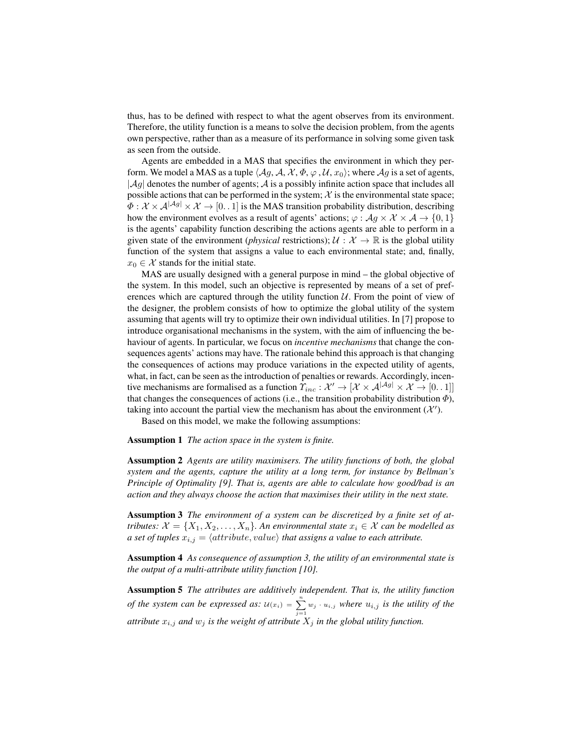thus, has to be defined with respect to what the agent observes from its environment. Therefore, the utility function is a means to solve the decision problem, from the agents own perspective, rather than as a measure of its performance in solving some given task as seen from the outside.

Agents are embedded in a MAS that specifies the environment in which they perform. We model a MAS as a tuple  $\langle Ag, A, X, \Phi, \varphi, U, x_0 \rangle$ ; where  $Ag$  is a set of agents,  $|\mathcal{A}g|$  denotes the number of agents;  $\mathcal{A}$  is a possibly infinite action space that includes all possible actions that can be performed in the system;  $X$  is the environmental state space;  $\Phi: \mathcal{X} \times \mathcal{A}^{|\mathcal{A}_g|} \times \mathcal{X} \to [0, 1]$  is the MAS transition probability distribution, describing how the environment evolves as a result of agents' actions;  $\varphi : \mathcal{A}g \times \mathcal{X} \times \mathcal{A} \rightarrow \{0,1\}$ is the agents' capability function describing the actions agents are able to perform in a given state of the environment (*physical* restrictions);  $\mathcal{U}: \mathcal{X} \to \mathbb{R}$  is the global utility function of the system that assigns a value to each environmental state; and, finally,  $x_0 \in \mathcal{X}$  stands for the initial state.

MAS are usually designed with a general purpose in mind – the global objective of the system. In this model, such an objective is represented by means of a set of preferences which are captured through the utility function  $U$ . From the point of view of the designer, the problem consists of how to optimize the global utility of the system assuming that agents will try to optimize their own individual utilities. In [7] propose to introduce organisational mechanisms in the system, with the aim of influencing the behaviour of agents. In particular, we focus on *incentive mechanisms* that change the consequences agents' actions may have. The rationale behind this approach is that changing the consequences of actions may produce variations in the expected utility of agents, what, in fact, can be seen as the introduction of penalties or rewards. Accordingly, incentive mechanisms are formalised as a function  $\Upsilon_{inc} : \mathcal{X}' \to [\mathcal{X} \times \mathcal{A}^{|\mathcal{A}g|} \times \mathcal{X} \to [0, 1]]$ that changes the consequences of actions (i.e., the transition probability distribution  $\Phi$ ), taking into account the partial view the mechanism has about the environment  $(X')$ .

Based on this model, we make the following assumptions:

Assumption 1 *The action space in the system is finite.*

Assumption 2 *Agents are utility maximisers. The utility functions of both, the global system and the agents, capture the utility at a long term, for instance by Bellman's Principle of Optimality [9]. That is, agents are able to calculate how good/bad is an action and they always choose the action that maximises their utility in the next state.*

Assumption 3 *The environment of a system can be discretized by a finite set of attributes:*  $\mathcal{X} = \{X_1, X_2, \ldots, X_n\}$ . An environmental state  $x_i \in \mathcal{X}$  can be modelled as *a set of tuples*  $x_{i,j} = \langle attribute, value \rangle$  *that assigns a value to each attribute.* 

Assumption 4 *As consequence of assumption 3, the utility of an environmental state is the output of a multi-attribute utility function [10].*

Assumption 5 *The attributes are additively independent. That is, the utility function of the system can be expressed as:*  $u(x_i) = \sum_{j=1}^{n} w_j \cdot u_{i,j}$  *where*  $u_{i,j}$  *is the utility of the attribute*  $x_{i,j}$  *and*  $w_j$  *is the weight of attribute*  $X_j$  *in the global utility function.*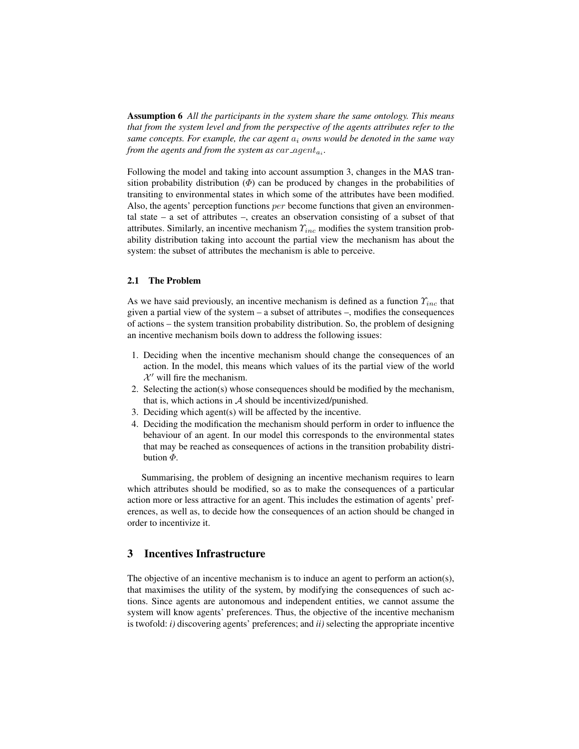Assumption 6 *All the participants in the system share the same ontology. This means that from the system level and from the perspective of the agents attributes refer to the same concepts. For example, the car agent* a<sup>i</sup> *owns would be denoted in the same way from the agents and from the system as*  $car\_agent_{a_i}$ *.* 

Following the model and taking into account assumption 3, changes in the MAS transition probability distribution  $(\Phi)$  can be produced by changes in the probabilities of transiting to environmental states in which some of the attributes have been modified. Also, the agents' perception functions per become functions that given an environmental state – a set of attributes –, creates an observation consisting of a subset of that attributes. Similarly, an incentive mechanism  $\Upsilon_{inc}$  modifies the system transition probability distribution taking into account the partial view the mechanism has about the system: the subset of attributes the mechanism is able to perceive.

#### 2.1 The Problem

As we have said previously, an incentive mechanism is defined as a function  $\Upsilon_{inc}$  that given a partial view of the system – a subset of attributes –, modifies the consequences of actions – the system transition probability distribution. So, the problem of designing an incentive mechanism boils down to address the following issues:

- 1. Deciding when the incentive mechanism should change the consequences of an action. In the model, this means which values of its the partial view of the world  $\mathcal{X}'$  will fire the mechanism.
- 2. Selecting the action(s) whose consequences should be modified by the mechanism, that is, which actions in  $A$  should be incentivized/punished.
- 3. Deciding which agent(s) will be affected by the incentive.
- 4. Deciding the modification the mechanism should perform in order to influence the behaviour of an agent. In our model this corresponds to the environmental states that may be reached as consequences of actions in the transition probability distribution  $\Phi$ .

Summarising, the problem of designing an incentive mechanism requires to learn which attributes should be modified, so as to make the consequences of a particular action more or less attractive for an agent. This includes the estimation of agents' preferences, as well as, to decide how the consequences of an action should be changed in order to incentivize it.

# 3 Incentives Infrastructure

The objective of an incentive mechanism is to induce an agent to perform an action(s), that maximises the utility of the system, by modifying the consequences of such actions. Since agents are autonomous and independent entities, we cannot assume the system will know agents' preferences. Thus, the objective of the incentive mechanism is twofold: *i)* discovering agents' preferences; and *ii)* selecting the appropriate incentive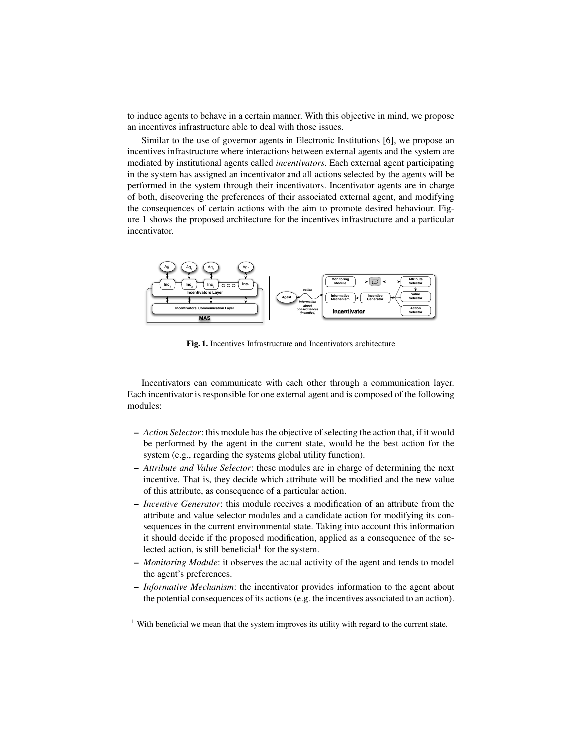to induce agents to behave in a certain manner. With this objective in mind, we propose an incentives infrastructure able to deal with those issues.

Similar to the use of governor agents in Electronic Institutions [6], we propose an incentives infrastructure where interactions between external agents and the system are mediated by institutional agents called *incentivators*. Each external agent participating in the system has assigned an incentivator and all actions selected by the agents will be performed in the system through their incentivators. Incentivator agents are in charge of both, discovering the preferences of their associated external agent, and modifying the consequences of certain actions with the aim to promote desired behaviour. Figure 1 shows the proposed architecture for the incentives infrastructure and a particular incentivator.



Fig. 1. Incentives Infrastructure and Incentivators architecture

Incentivators can communicate with each other through a communication layer. Each incentivator is responsible for one external agent and is composed of the following modules:

- *Action Selector*: this module has the objective of selecting the action that, if it would be performed by the agent in the current state, would be the best action for the system (e.g., regarding the systems global utility function).
- *Attribute and Value Selector*: these modules are in charge of determining the next incentive. That is, they decide which attribute will be modified and the new value of this attribute, as consequence of a particular action.
- *Incentive Generator*: this module receives a modification of an attribute from the attribute and value selector modules and a candidate action for modifying its consequences in the current environmental state. Taking into account this information it should decide if the proposed modification, applied as a consequence of the selected action, is still beneficial<sup>1</sup> for the system.
- *Monitoring Module*: it observes the actual activity of the agent and tends to model the agent's preferences.
- *Informative Mechanism*: the incentivator provides information to the agent about the potential consequences of its actions (e.g. the incentives associated to an action).

<sup>&</sup>lt;sup>1</sup> With beneficial we mean that the system improves its utility with regard to the current state.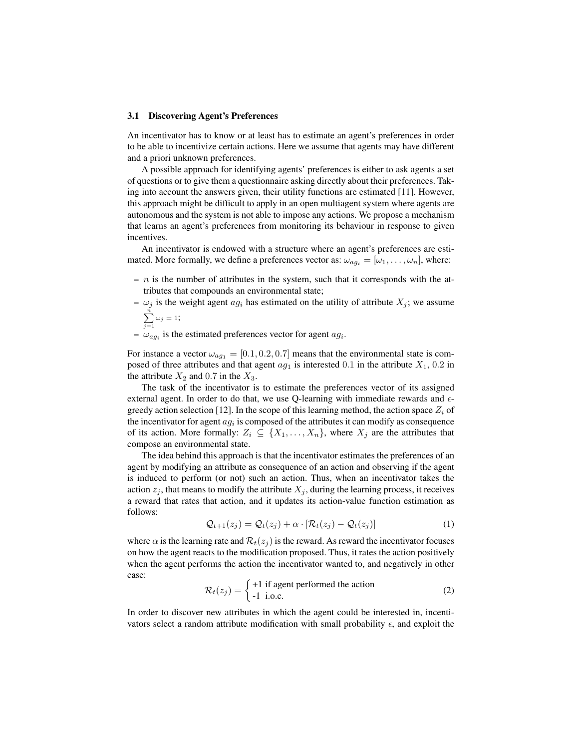#### 3.1 Discovering Agent's Preferences

An incentivator has to know or at least has to estimate an agent's preferences in order to be able to incentivize certain actions. Here we assume that agents may have different and a priori unknown preferences.

A possible approach for identifying agents' preferences is either to ask agents a set of questions or to give them a questionnaire asking directly about their preferences. Taking into account the answers given, their utility functions are estimated [11]. However, this approach might be difficult to apply in an open multiagent system where agents are autonomous and the system is not able to impose any actions. We propose a mechanism that learns an agent's preferences from monitoring its behaviour in response to given incentives.

An incentivator is endowed with a structure where an agent's preferences are estimated. More formally, we define a preferences vector as:  $\omega_{aq_i} = [\omega_1, \dots, \omega_n]$ , where:

- $n$  is the number of attributes in the system, such that it corresponds with the attributes that compounds an environmental state;
- $\omega_i$  is the weight agent  $ag_i$  has estimated on the utility of attribute  $X_i$ ; we assume  $\sum_{n=1}^{\infty}$ 
	- $\sum_{j=1} \omega_j = 1;$
- $\omega_{ag_i}$  is the estimated preferences vector for agent  $ag_i$ .

For instance a vector  $\omega_{ag_1} = [0.1, 0.2, 0.7]$  means that the environmental state is composed of three attributes and that agent  $ag_1$  is interested 0.1 in the attribute  $X_1$ , 0.2 in the attribute  $X_2$  and 0.7 in the  $X_3$ .

The task of the incentivator is to estimate the preferences vector of its assigned external agent. In order to do that, we use Q-learning with immediate rewards and  $\epsilon$ greedy action selection [12]. In the scope of this learning method, the action space  $Z_i$  of the incentivator for agent  $ag_i$  is composed of the attributes it can modify as consequence of its action. More formally:  $Z_i \subseteq \{X_1, \ldots, X_n\}$ , where  $X_j$  are the attributes that compose an environmental state.

The idea behind this approach is that the incentivator estimates the preferences of an agent by modifying an attribute as consequence of an action and observing if the agent is induced to perform (or not) such an action. Thus, when an incentivator takes the action  $z_i$ , that means to modify the attribute  $X_i$ , during the learning process, it receives a reward that rates that action, and it updates its action-value function estimation as follows:

$$
\mathcal{Q}_{t+1}(z_j) = \mathcal{Q}_t(z_j) + \alpha \cdot [\mathcal{R}_t(z_j) - \mathcal{Q}_t(z_j)] \tag{1}
$$

where  $\alpha$  is the learning rate and  $\mathcal{R}_t(z_i)$  is the reward. As reward the incentivator focuses on how the agent reacts to the modification proposed. Thus, it rates the action positively when the agent performs the action the incentivator wanted to, and negatively in other case:

$$
\mathcal{R}_t(z_j) = \begin{cases} +1 \text{ if agent performed the action} \\ -1 \text{ i.o.c.} \end{cases}
$$
 (2)

In order to discover new attributes in which the agent could be interested in, incentivators select a random attribute modification with small probability  $\epsilon$ , and exploit the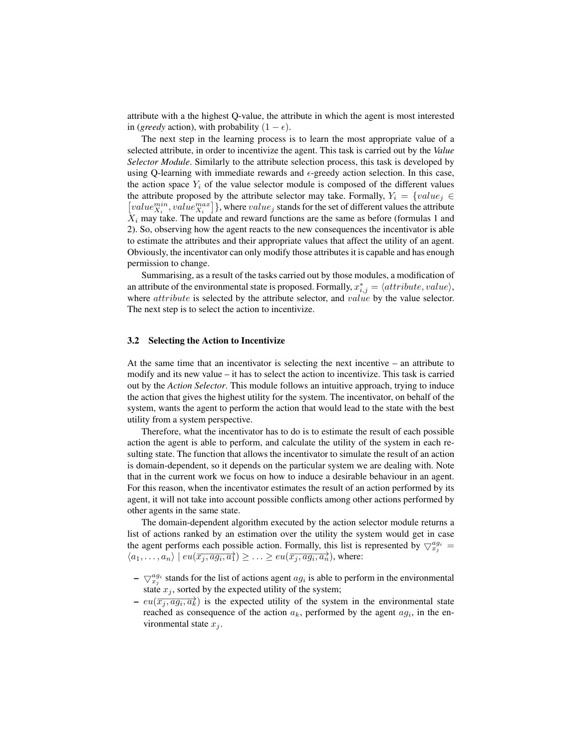attribute with a the highest Q-value, the attribute in which the agent is most interested in (*greedy* action), with probability  $(1 - \epsilon)$ .

The next step in the learning process is to learn the most appropriate value of a selected attribute, in order to incentivize the agent. This task is carried out by the *Value Selector Module*. Similarly to the attribute selection process, this task is developed by using Q-learning with immediate rewards and  $\epsilon$ -greedy action selection. In this case, the action space  $Y_i$  of the value selector module is composed of the different values the attribute proposed by the attribute selector may take. Formally,  $Y_i = \{value_j \in$  $\bigl[value^{min}_{X_i}, value^{max}_{X_i}\bigr]\},$  where  $value_j$  stands for the set of different values the attribute  $X_i$  may take. The update and reward functions are the same as before (formulas 1 and 2). So, observing how the agent reacts to the new consequences the incentivator is able to estimate the attributes and their appropriate values that affect the utility of an agent. Obviously, the incentivator can only modify those attributes it is capable and has enough permission to change.

Summarising, as a result of the tasks carried out by those modules, a modification of an attribute of the environmental state is proposed. Formally,  $x_{i,j}^* = \langle attribute, value \rangle$ , where *attribute* is selected by the attribute selector, and *value* by the value selector. The next step is to select the action to incentivize.

#### 3.2 Selecting the Action to Incentivize

At the same time that an incentivator is selecting the next incentive – an attribute to modify and its new value – it has to select the action to incentivize. This task is carried out by the *Action Selector*. This module follows an intuitive approach, trying to induce the action that gives the highest utility for the system. The incentivator, on behalf of the system, wants the agent to perform the action that would lead to the state with the best utility from a system perspective.

Therefore, what the incentivator has to do is to estimate the result of each possible action the agent is able to perform, and calculate the utility of the system in each resulting state. The function that allows the incentivator to simulate the result of an action is domain-dependent, so it depends on the particular system we are dealing with. Note that in the current work we focus on how to induce a desirable behaviour in an agent. For this reason, when the incentivator estimates the result of an action performed by its agent, it will not take into account possible conflicts among other actions performed by other agents in the same state.

The domain-dependent algorithm executed by the action selector module returns a list of actions ranked by an estimation over the utility the system would get in case the agent performs each possible action. Formally, this list is represented by  $\bigtriangledown_{x_j}^{a g_i} =$  $\langle a_1,\ldots,a_n\rangle \mid eu(\overline{x_j,a g_i,a_1}) \geq \ldots \geq eu(\overline{x_j,a g_i,a_n}),$  where:

- $-\nabla_{x_j}^{ag_i}$  stands for the list of actions agent  $ag_i$  is able to perform in the environmental state  $x_j$ , sorted by the expected utility of the system;
- $-eu(\overrightarrow{x_j, a g_i, a_k})$  is the expected utility of the system in the environmental state reached as consequence of the action  $a_k$ , performed by the agent  $a_j$ , in the environmental state  $x_j$ .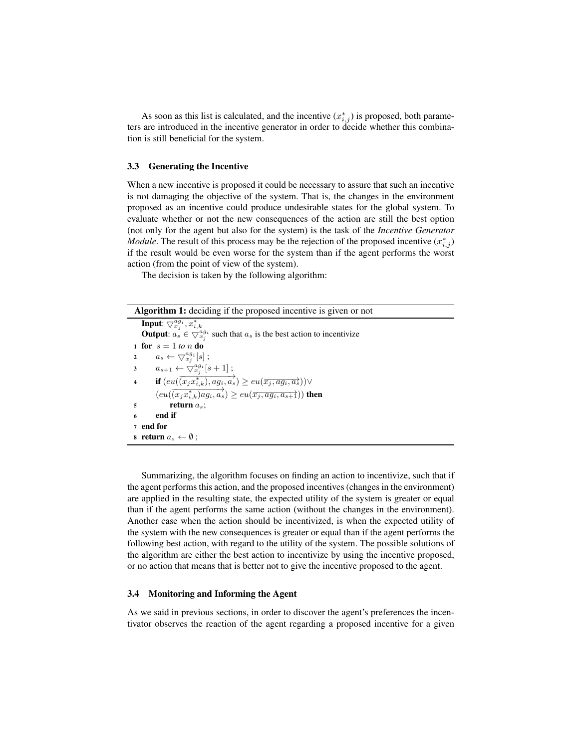As soon as this list is calculated, and the incentive  $(x_{i,j}^*)$  is proposed, both parameters are introduced in the incentive generator in order to decide whether this combination is still beneficial for the system.

#### 3.3 Generating the Incentive

When a new incentive is proposed it could be necessary to assure that such an incentive is not damaging the objective of the system. That is, the changes in the environment proposed as an incentive could produce undesirable states for the global system. To evaluate whether or not the new consequences of the action are still the best option (not only for the agent but also for the system) is the task of the *Incentive Generator Module*. The result of this process may be the rejection of the proposed incentive  $(x_{i,j}^*)$ if the result would be even worse for the system than if the agent performs the worst action (from the point of view of the system).

The decision is taken by the following algorithm:

| <b>Algorithm 1:</b> deciding if the proposed incentive is given or not                                          |  |  |
|-----------------------------------------------------------------------------------------------------------------|--|--|
| <b>Input:</b> $\bigtriangledown_{x_i}^{ag_i}, x_{i,k}^*$                                                        |  |  |
| <b>Output:</b> $a_s \in \bigtriangledown_{x_i}^{ag_i}$ such that $a_s$ is the best action to incentivize        |  |  |
| 1 for $s = 1$ to n do                                                                                           |  |  |
| $a_s \leftarrow \bigtriangledown_{x_i}^{ag_i}[s]$ ;<br>$\mathbf{2}$                                             |  |  |
| $a_{s+1} \leftarrow \bigtriangledown_{x_i}^{ag_i}[s+1]$ ;<br>$3^{\circ}$                                        |  |  |
| 4 if $(eu(\overrightarrow{(x_jx_{i,k}^*), a g_i, a_s}) \geq eu(\overrightarrow{x_j, a g_i, a_s})$               |  |  |
| $\overrightarrow{(eu(\overrightarrow{x_jx_{i,k}^*)ag_i,a_s})} \geq eu(\overrightarrow{x_j,aq_i,a_{s+1}}))$ then |  |  |
| return $a_s$ ;<br>5                                                                                             |  |  |
| end if<br>6                                                                                                     |  |  |
| 7 end for                                                                                                       |  |  |
| 8 return $a_s \leftarrow \emptyset$ :                                                                           |  |  |

Summarizing, the algorithm focuses on finding an action to incentivize, such that if the agent performs this action, and the proposed incentives (changes in the environment) are applied in the resulting state, the expected utility of the system is greater or equal than if the agent performs the same action (without the changes in the environment). Another case when the action should be incentivized, is when the expected utility of the system with the new consequences is greater or equal than if the agent performs the following best action, with regard to the utility of the system. The possible solutions of the algorithm are either the best action to incentivize by using the incentive proposed, or no action that means that is better not to give the incentive proposed to the agent.

#### 3.4 Monitoring and Informing the Agent

As we said in previous sections, in order to discover the agent's preferences the incentivator observes the reaction of the agent regarding a proposed incentive for a given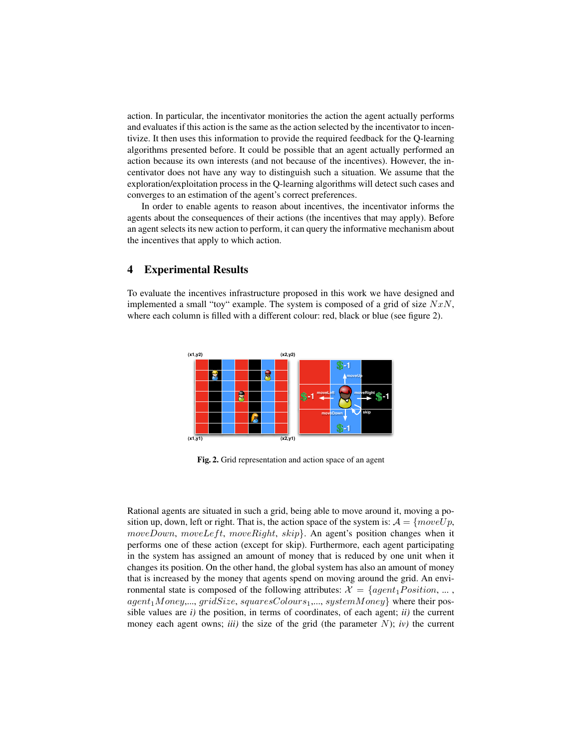action. In particular, the incentivator monitories the action the agent actually performs and evaluates if this action is the same as the action selected by the incentivator to incentivize. It then uses this information to provide the required feedback for the Q-learning algorithms presented before. It could be possible that an agent actually performed an action because its own interests (and not because of the incentives). However, the incentivator does not have any way to distinguish such a situation. We assume that the exploration/exploitation process in the Q-learning algorithms will detect such cases and converges to an estimation of the agent's correct preferences.

In order to enable agents to reason about incentives, the incentivator informs the agents about the consequences of their actions (the incentives that may apply). Before an agent selects its new action to perform, it can query the informative mechanism about the incentives that apply to which action.

# 4 Experimental Results

To evaluate the incentives infrastructure proposed in this work we have designed and implemented a small "toy" example. The system is composed of a grid of size  $NxN$ , where each column is filled with a different colour: red, black or blue (see figure 2).



Fig. 2. Grid representation and action space of an agent

Rational agents are situated in such a grid, being able to move around it, moving a position up, down, left or right. That is, the action space of the system is:  $A = \{moveUp,$  $moveDown, moveLeft, moveRight, skip\}.$  An agent's position changes when it performs one of these action (except for skip). Furthermore, each agent participating in the system has assigned an amount of money that is reduced by one unit when it changes its position. On the other hand, the global system has also an amount of money that is increased by the money that agents spend on moving around the grid. An environmental state is composed of the following attributes:  $\mathcal{X} = \{agent_1Position, \dots,$  $agent_1Money,..., gridSize, squaresColours_1,..., systemMoney\}$  where their possible values are *i)* the position, in terms of coordinates, of each agent; *ii)* the current money each agent owns; *iii*) the size of the grid (the parameter  $N$ ); *iv*) the current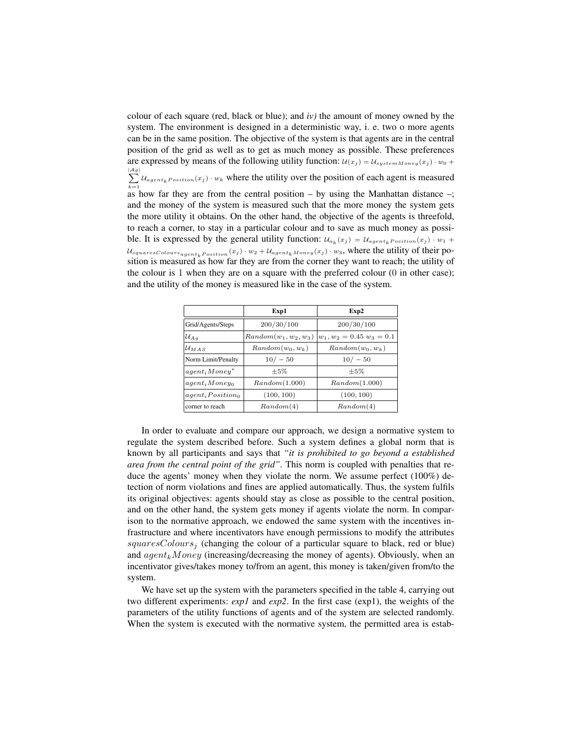colour of each square (red, black or blue); and *iv)* the amount of money owned by the system. The environment is designed in a deterministic way, i. e. two o more agents can be in the same position. The objective of the system is that agents are in the central position of the grid as well as to get as much money as possible. These preferences are expressed by means of the following utility function:  $u(x_j) = U_{systemMoney}(x_j) \cdot w_0 +$  $\sum$  $\sum_{k=1} U_{agent_kPosition}(x_j) \cdot w_k$  where the utility over the position of each agent is measured as how far they are from the central position – by using the Manhattan distance –; and the money of the system is measured such that the more money the system gets the more utility it obtains. On the other hand, the objective of the agents is threefold, to reach a corner, to stay in a particular colour and to save as much money as possible. It is expressed by the general utility function:  $u_{a_k}(x_j) = u_{agent_kPosition}(x_j) \cdot w_1 +$  $U_{squaresColors_{agent_kPosition}}(x_j) \cdot w_2 + U_{agent_kMoney}(x_j) \cdot w_3$ , where the utility of their position is measured as how far they are from the corner they want to reach; the utility of the colour is 1 when they are on a square with the preferred colour (0 in other case); and the utility of the money is measured like in the case of the system.

|                      | Exp1                    | Exp2                        |
|----------------------|-------------------------|-----------------------------|
| Grid/Agents/Steps    | 200/30/100              | 200/30/100                  |
| $\mathcal{U}_{A\,q}$ | $Random(w_1, w_2, w_3)$ | $w_1, w_2 = 0.45 w_3 = 0.1$ |
| $\mathcal{U}_{MAS}$  | $Random(w_0, w_k)$      | $Random(w_0, w_k)$          |
| Norm Limit/Penalty   | $10/-50$                | $10/-50$                    |
| $a qent_i Monev^*$   | $\pm 5\%$               | $+5%$                       |
| $agent_i Money_0$    | Random(1.000)           | Random(1.000)               |
| $agent_i Position_0$ | (100, 100)              | (100, 100)                  |
| corner to reach      | Random(4)               | Random(4)                   |

In order to evaluate and compare our approach, we design a normative system to regulate the system described before. Such a system defines a global norm that is known by all participants and says that *"it is prohibited to go beyond a established area from the central point of the grid"*. This norm is coupled with penalties that reduce the agents' money when they violate the norm. We assume perfect (100%) detection of norm violations and fines are applied automatically. Thus, the system fulfils its original objectives: agents should stay as close as possible to the central position, and on the other hand, the system gets money if agents violate the norm. In comparison to the normative approach, we endowed the same system with the incentives infrastructure and where incentivators have enough permissions to modify the attributes squaresColours<sub>i</sub> (changing the colour of a particular square to black, red or blue) and  $agent_kMoney$  (increasing/decreasing the money of agents). Obviously, when an incentivator gives/takes money to/from an agent, this money is taken/given from/to the system.

We have set up the system with the parameters specified in the table 4, carrying out two different experiments: *exp1* and *exp2*. In the first case (exp1), the weights of the parameters of the utility functions of agents and of the system are selected randomly. When the system is executed with the normative system, the permitted area is estab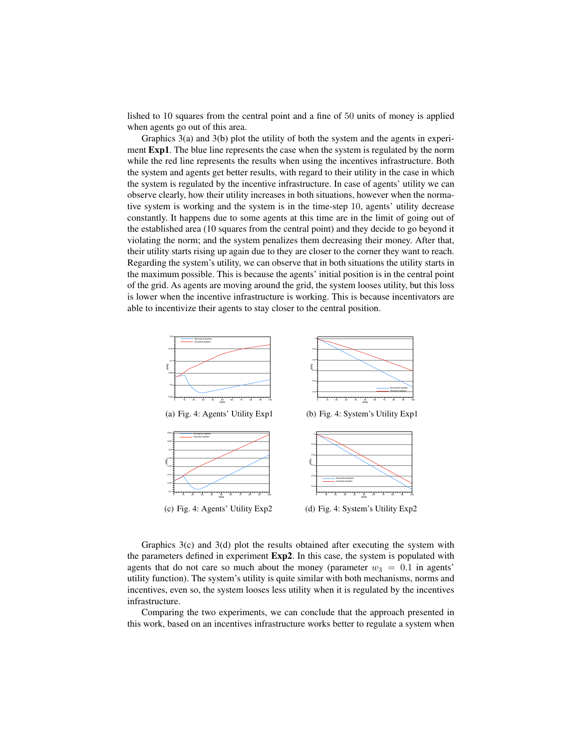lished to 10 squares from the central point and a fine of 50 units of money is applied when agents go out of this area.

Graphics 3(a) and 3(b) plot the utility of both the system and the agents in experiment Exp1. The blue line represents the case when the system is regulated by the norm while the red line represents the results when using the incentives infrastructure. Both the system and agents get better results, with regard to their utility in the case in which the system is regulated by the incentive infrastructure. In case of agents' utility we can observe clearly, how their utility increases in both situations, however when the normative system is working and the system is in the time-step 10, agents' utility decrease constantly. It happens due to some agents at this time are in the limit of going out of the established area (10 squares from the central point) and they decide to go beyond it violating the norm; and the system penalizes them decreasing their money. After that, their utility starts rising up again due to they are closer to the corner they want to reach. Regarding the system's utility, we can observe that in both situations the utility starts in the maximum possible. This is because the agents' initial position is in the central point of the grid. As agents are moving around the grid, the system looses utility, but this loss is lower when the incentive infrastructure is working. This is because incentivators are able to incentivize their agents to stay closer to the central position.



Graphics  $3(c)$  and  $3(d)$  plot the results obtained after executing the system with the parameters defined in experiment Exp2. In this case, the system is populated with agents that do not care so much about the money (parameter  $w_3 = 0.1$  in agents' utility function). The system's utility is quite similar with both mechanisms, norms and incentives, even so, the system looses less utility when it is regulated by the incentives infrastructure.

Comparing the two experiments, we can conclude that the approach presented in this work, based on an incentives infrastructure works better to regulate a system when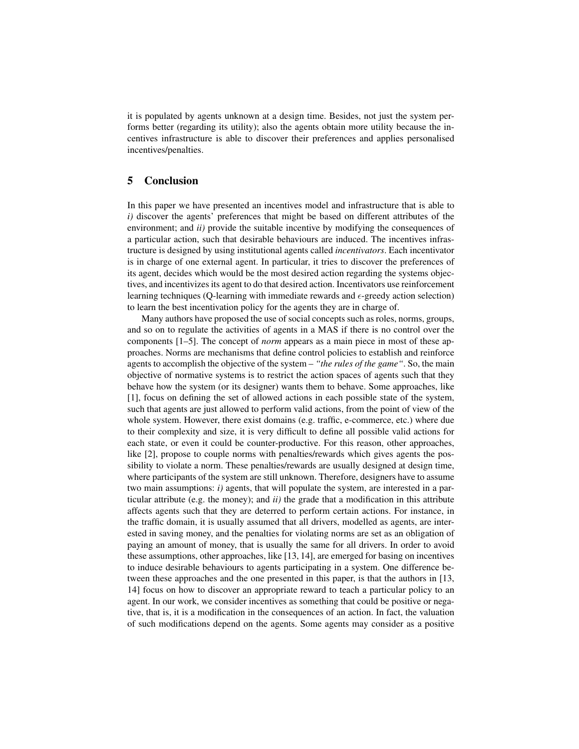it is populated by agents unknown at a design time. Besides, not just the system performs better (regarding its utility); also the agents obtain more utility because the incentives infrastructure is able to discover their preferences and applies personalised incentives/penalties.

## 5 Conclusion

In this paper we have presented an incentives model and infrastructure that is able to *i*) discover the agents' preferences that might be based on different attributes of the environment; and *ii)* provide the suitable incentive by modifying the consequences of a particular action, such that desirable behaviours are induced. The incentives infrastructure is designed by using institutional agents called *incentivators*. Each incentivator is in charge of one external agent. In particular, it tries to discover the preferences of its agent, decides which would be the most desired action regarding the systems objectives, and incentivizes its agent to do that desired action. Incentivators use reinforcement learning techniques (Q-learning with immediate rewards and  $\epsilon$ -greedy action selection) to learn the best incentivation policy for the agents they are in charge of.

Many authors have proposed the use of social concepts such as roles, norms, groups, and so on to regulate the activities of agents in a MAS if there is no control over the components [1–5]. The concept of *norm* appears as a main piece in most of these approaches. Norms are mechanisms that define control policies to establish and reinforce agents to accomplish the objective of the system – *"the rules of the game"*. So, the main objective of normative systems is to restrict the action spaces of agents such that they behave how the system (or its designer) wants them to behave. Some approaches, like [1], focus on defining the set of allowed actions in each possible state of the system, such that agents are just allowed to perform valid actions, from the point of view of the whole system. However, there exist domains (e.g. traffic, e-commerce, etc.) where due to their complexity and size, it is very difficult to define all possible valid actions for each state, or even it could be counter-productive. For this reason, other approaches, like [2], propose to couple norms with penalties/rewards which gives agents the possibility to violate a norm. These penalties/rewards are usually designed at design time, where participants of the system are still unknown. Therefore, designers have to assume two main assumptions: *i)* agents, that will populate the system, are interested in a particular attribute (e.g. the money); and *ii)* the grade that a modification in this attribute affects agents such that they are deterred to perform certain actions. For instance, in the traffic domain, it is usually assumed that all drivers, modelled as agents, are interested in saving money, and the penalties for violating norms are set as an obligation of paying an amount of money, that is usually the same for all drivers. In order to avoid these assumptions, other approaches, like [13, 14], are emerged for basing on incentives to induce desirable behaviours to agents participating in a system. One difference between these approaches and the one presented in this paper, is that the authors in [13, 14] focus on how to discover an appropriate reward to teach a particular policy to an agent. In our work, we consider incentives as something that could be positive or negative, that is, it is a modification in the consequences of an action. In fact, the valuation of such modifications depend on the agents. Some agents may consider as a positive